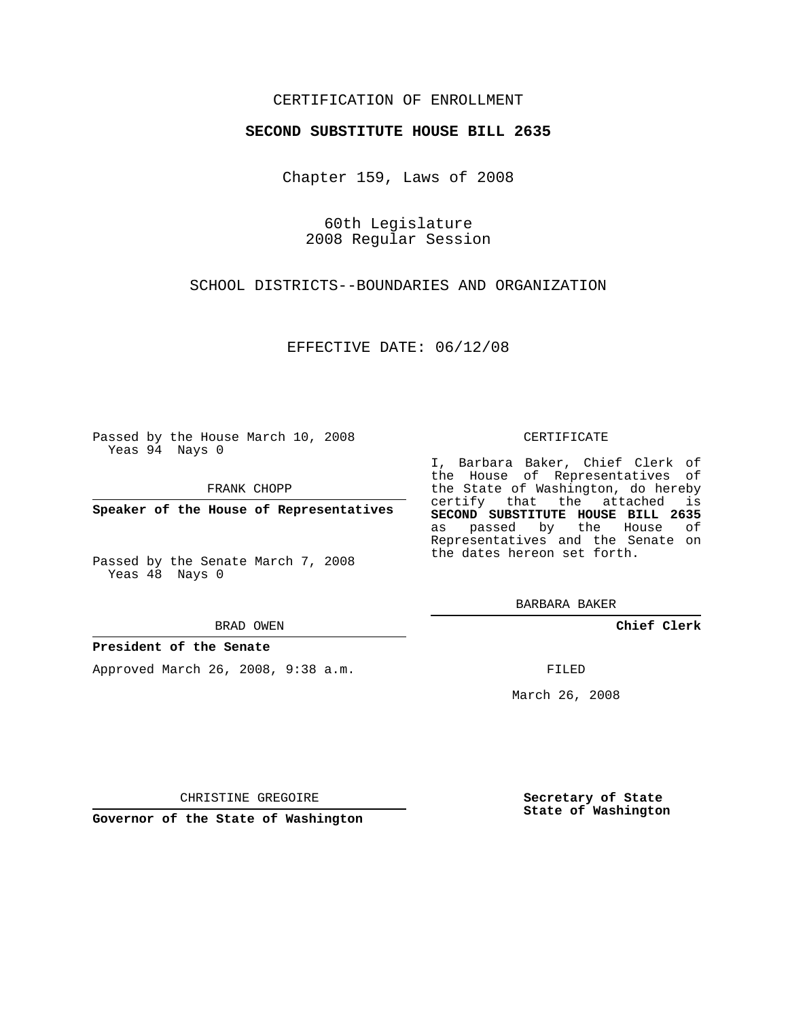## CERTIFICATION OF ENROLLMENT

### **SECOND SUBSTITUTE HOUSE BILL 2635**

Chapter 159, Laws of 2008

60th Legislature 2008 Regular Session

SCHOOL DISTRICTS--BOUNDARIES AND ORGANIZATION

EFFECTIVE DATE: 06/12/08

Passed by the House March 10, 2008 Yeas 94 Nays 0

FRANK CHOPP

**Speaker of the House of Representatives**

Passed by the Senate March 7, 2008 Yeas 48 Nays 0

#### BRAD OWEN

### **President of the Senate**

Approved March 26, 2008, 9:38 a.m.

#### CERTIFICATE

I, Barbara Baker, Chief Clerk of the House of Representatives of the State of Washington, do hereby certify that the attached is **SECOND SUBSTITUTE HOUSE BILL 2635** as passed by the House of Representatives and the Senate on the dates hereon set forth.

BARBARA BAKER

**Chief Clerk**

FILED

March 26, 2008

CHRISTINE GREGOIRE

**Governor of the State of Washington**

**Secretary of State State of Washington**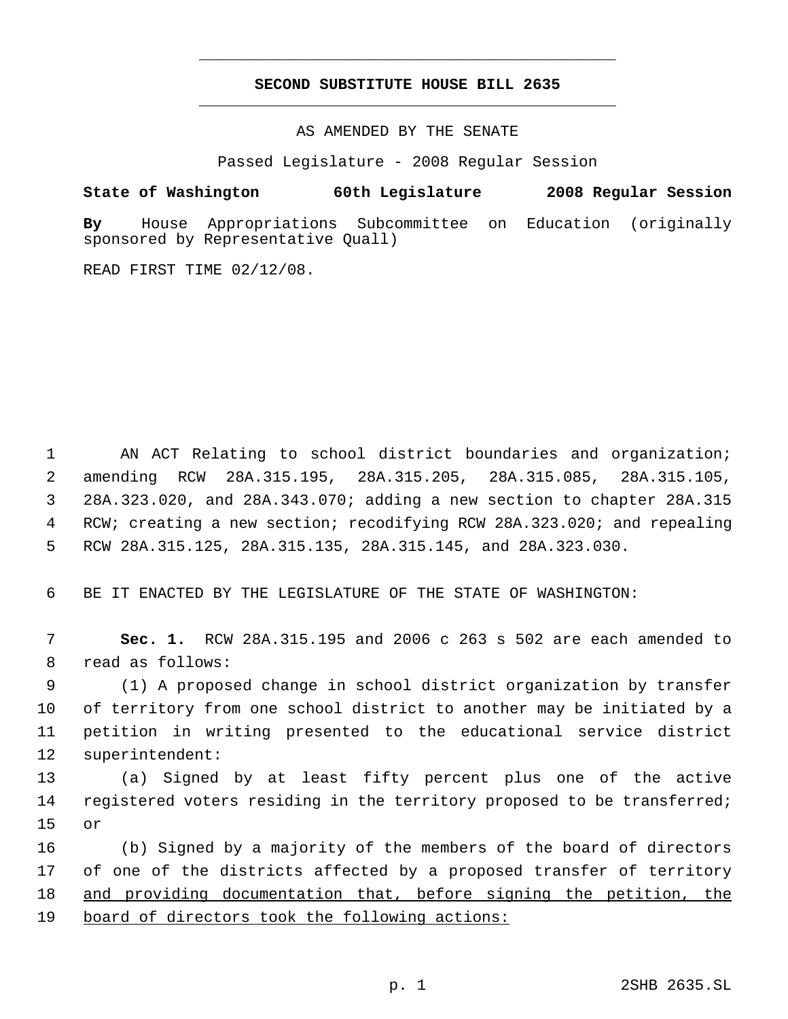# **SECOND SUBSTITUTE HOUSE BILL 2635** \_\_\_\_\_\_\_\_\_\_\_\_\_\_\_\_\_\_\_\_\_\_\_\_\_\_\_\_\_\_\_\_\_\_\_\_\_\_\_\_\_\_\_\_\_

\_\_\_\_\_\_\_\_\_\_\_\_\_\_\_\_\_\_\_\_\_\_\_\_\_\_\_\_\_\_\_\_\_\_\_\_\_\_\_\_\_\_\_\_\_

AS AMENDED BY THE SENATE

Passed Legislature - 2008 Regular Session

## **State of Washington 60th Legislature 2008 Regular Session**

**By** House Appropriations Subcommittee on Education (originally sponsored by Representative Quall)

READ FIRST TIME 02/12/08.

 AN ACT Relating to school district boundaries and organization; amending RCW 28A.315.195, 28A.315.205, 28A.315.085, 28A.315.105, 28A.323.020, and 28A.343.070; adding a new section to chapter 28A.315 RCW; creating a new section; recodifying RCW 28A.323.020; and repealing RCW 28A.315.125, 28A.315.135, 28A.315.145, and 28A.323.030.

6 BE IT ENACTED BY THE LEGISLATURE OF THE STATE OF WASHINGTON:

 7 **Sec. 1.** RCW 28A.315.195 and 2006 c 263 s 502 are each amended to 8 read as follows:

 (1) A proposed change in school district organization by transfer of territory from one school district to another may be initiated by a petition in writing presented to the educational service district superintendent:

13 (a) Signed by at least fifty percent plus one of the active 14 registered voters residing in the territory proposed to be transferred; 15 or

16 (b) Signed by a majority of the members of the board of directors 17 of one of the districts affected by a proposed transfer of territory 18 and providing documentation that, before signing the petition, the 19 board of directors took the following actions: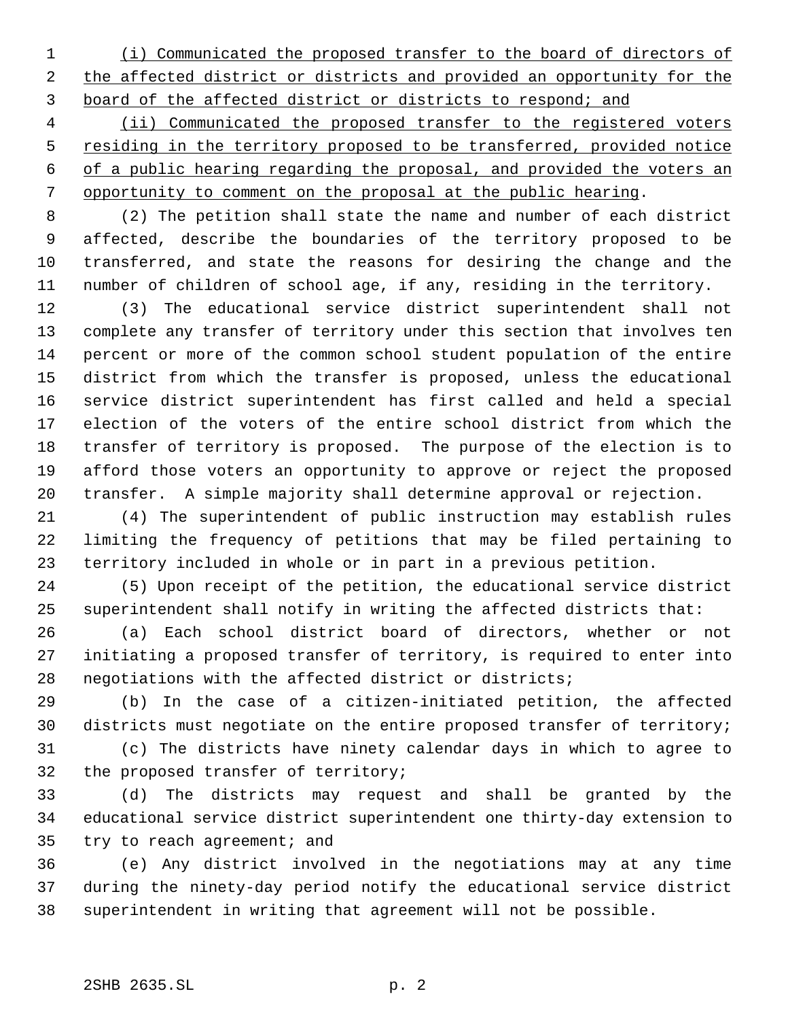(i) Communicated the proposed transfer to the board of directors of 2 the affected district or districts and provided an opportunity for the board of the affected district or districts to respond; and

 (ii) Communicated the proposed transfer to the registered voters 5 residing in the territory proposed to be transferred, provided notice of a public hearing regarding the proposal, and provided the voters an opportunity to comment on the proposal at the public hearing.

 (2) The petition shall state the name and number of each district affected, describe the boundaries of the territory proposed to be transferred, and state the reasons for desiring the change and the number of children of school age, if any, residing in the territory.

 (3) The educational service district superintendent shall not complete any transfer of territory under this section that involves ten percent or more of the common school student population of the entire district from which the transfer is proposed, unless the educational service district superintendent has first called and held a special election of the voters of the entire school district from which the transfer of territory is proposed. The purpose of the election is to afford those voters an opportunity to approve or reject the proposed transfer. A simple majority shall determine approval or rejection.

 (4) The superintendent of public instruction may establish rules limiting the frequency of petitions that may be filed pertaining to territory included in whole or in part in a previous petition.

 (5) Upon receipt of the petition, the educational service district superintendent shall notify in writing the affected districts that:

 (a) Each school district board of directors, whether or not initiating a proposed transfer of territory, is required to enter into negotiations with the affected district or districts;

 (b) In the case of a citizen-initiated petition, the affected districts must negotiate on the entire proposed transfer of territory;

 (c) The districts have ninety calendar days in which to agree to the proposed transfer of territory;

 (d) The districts may request and shall be granted by the educational service district superintendent one thirty-day extension to try to reach agreement; and

 (e) Any district involved in the negotiations may at any time during the ninety-day period notify the educational service district superintendent in writing that agreement will not be possible.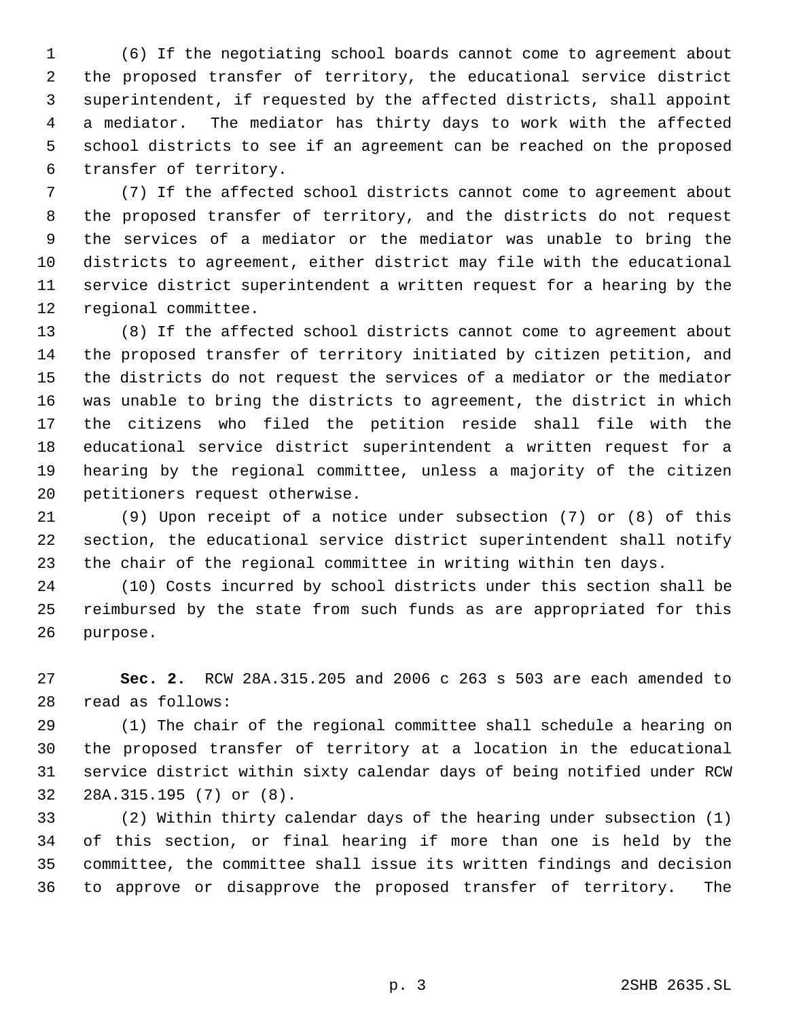(6) If the negotiating school boards cannot come to agreement about the proposed transfer of territory, the educational service district superintendent, if requested by the affected districts, shall appoint a mediator. The mediator has thirty days to work with the affected school districts to see if an agreement can be reached on the proposed transfer of territory.

 (7) If the affected school districts cannot come to agreement about the proposed transfer of territory, and the districts do not request the services of a mediator or the mediator was unable to bring the districts to agreement, either district may file with the educational service district superintendent a written request for a hearing by the regional committee.

 (8) If the affected school districts cannot come to agreement about the proposed transfer of territory initiated by citizen petition, and the districts do not request the services of a mediator or the mediator was unable to bring the districts to agreement, the district in which the citizens who filed the petition reside shall file with the educational service district superintendent a written request for a hearing by the regional committee, unless a majority of the citizen petitioners request otherwise.

 (9) Upon receipt of a notice under subsection (7) or (8) of this section, the educational service district superintendent shall notify the chair of the regional committee in writing within ten days.

 (10) Costs incurred by school districts under this section shall be reimbursed by the state from such funds as are appropriated for this purpose.

 **Sec. 2.** RCW 28A.315.205 and 2006 c 263 s 503 are each amended to read as follows:

 (1) The chair of the regional committee shall schedule a hearing on the proposed transfer of territory at a location in the educational service district within sixty calendar days of being notified under RCW 28A.315.195 (7) or (8).

 (2) Within thirty calendar days of the hearing under subsection (1) of this section, or final hearing if more than one is held by the committee, the committee shall issue its written findings and decision to approve or disapprove the proposed transfer of territory. The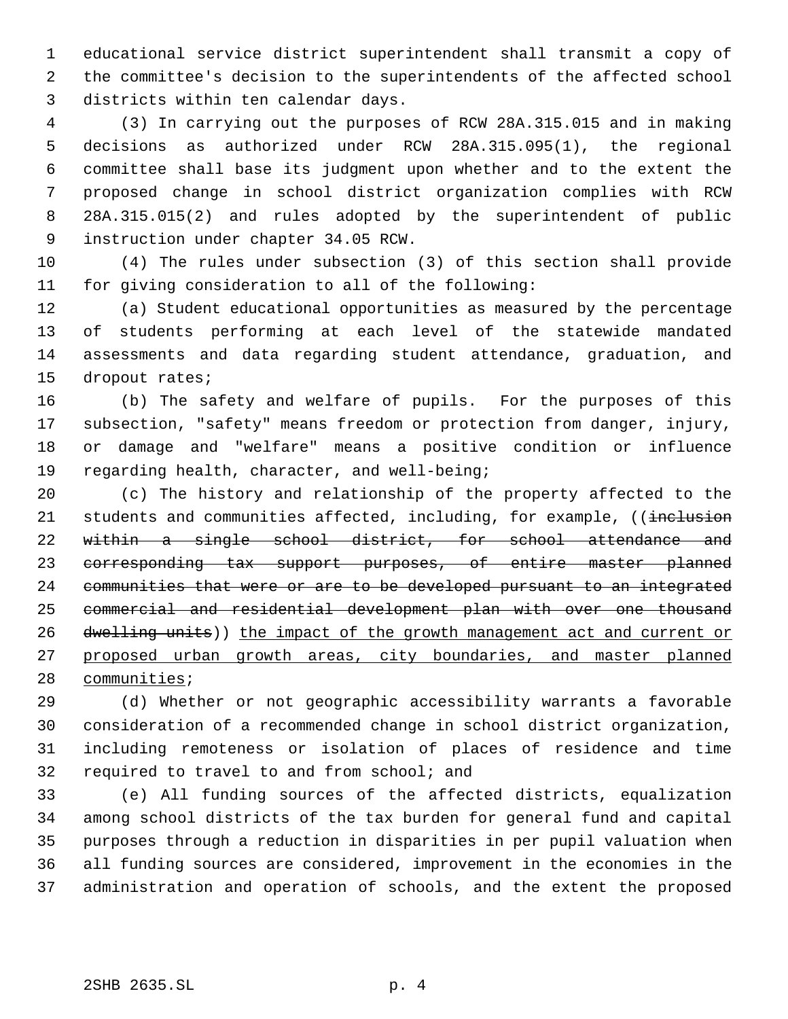educational service district superintendent shall transmit a copy of the committee's decision to the superintendents of the affected school districts within ten calendar days.

 (3) In carrying out the purposes of RCW 28A.315.015 and in making decisions as authorized under RCW 28A.315.095(1), the regional committee shall base its judgment upon whether and to the extent the proposed change in school district organization complies with RCW 28A.315.015(2) and rules adopted by the superintendent of public instruction under chapter 34.05 RCW.

 (4) The rules under subsection (3) of this section shall provide for giving consideration to all of the following:

 (a) Student educational opportunities as measured by the percentage of students performing at each level of the statewide mandated assessments and data regarding student attendance, graduation, and dropout rates;

 (b) The safety and welfare of pupils. For the purposes of this subsection, "safety" means freedom or protection from danger, injury, or damage and "welfare" means a positive condition or influence regarding health, character, and well-being;

 (c) The history and relationship of the property affected to the 21 students and communities affected, including, for example, ((inclusion 22 within a single school district, for school attendance and corresponding tax support purposes, of entire master planned communities that were or are to be developed pursuant to an integrated commercial and residential development plan with over one thousand 26 dwelling units)) the impact of the growth management act and current or proposed urban growth areas, city boundaries, and master planned 28 communities;

 (d) Whether or not geographic accessibility warrants a favorable consideration of a recommended change in school district organization, including remoteness or isolation of places of residence and time required to travel to and from school; and

 (e) All funding sources of the affected districts, equalization among school districts of the tax burden for general fund and capital purposes through a reduction in disparities in per pupil valuation when all funding sources are considered, improvement in the economies in the administration and operation of schools, and the extent the proposed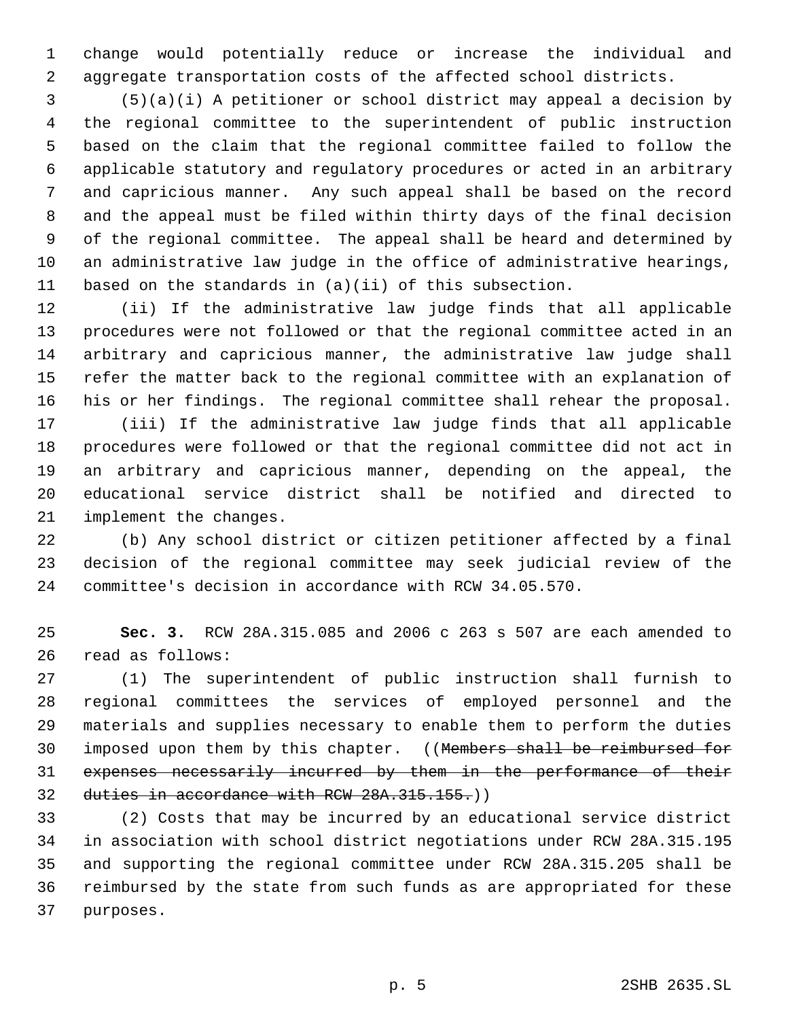change would potentially reduce or increase the individual and aggregate transportation costs of the affected school districts.

 (5)(a)(i) A petitioner or school district may appeal a decision by the regional committee to the superintendent of public instruction based on the claim that the regional committee failed to follow the applicable statutory and regulatory procedures or acted in an arbitrary and capricious manner. Any such appeal shall be based on the record and the appeal must be filed within thirty days of the final decision of the regional committee. The appeal shall be heard and determined by an administrative law judge in the office of administrative hearings, based on the standards in (a)(ii) of this subsection.

 (ii) If the administrative law judge finds that all applicable procedures were not followed or that the regional committee acted in an arbitrary and capricious manner, the administrative law judge shall refer the matter back to the regional committee with an explanation of his or her findings. The regional committee shall rehear the proposal.

 (iii) If the administrative law judge finds that all applicable procedures were followed or that the regional committee did not act in an arbitrary and capricious manner, depending on the appeal, the educational service district shall be notified and directed to implement the changes.

 (b) Any school district or citizen petitioner affected by a final decision of the regional committee may seek judicial review of the committee's decision in accordance with RCW 34.05.570.

 **Sec. 3.** RCW 28A.315.085 and 2006 c 263 s 507 are each amended to read as follows:

 (1) The superintendent of public instruction shall furnish to regional committees the services of employed personnel and the materials and supplies necessary to enable them to perform the duties 30 imposed upon them by this chapter. ((Members shall be reimbursed for expenses necessarily incurred by them in the performance of their 32 duties in accordance with RCW 28A.315.155.)

 (2) Costs that may be incurred by an educational service district in association with school district negotiations under RCW 28A.315.195 and supporting the regional committee under RCW 28A.315.205 shall be reimbursed by the state from such funds as are appropriated for these purposes.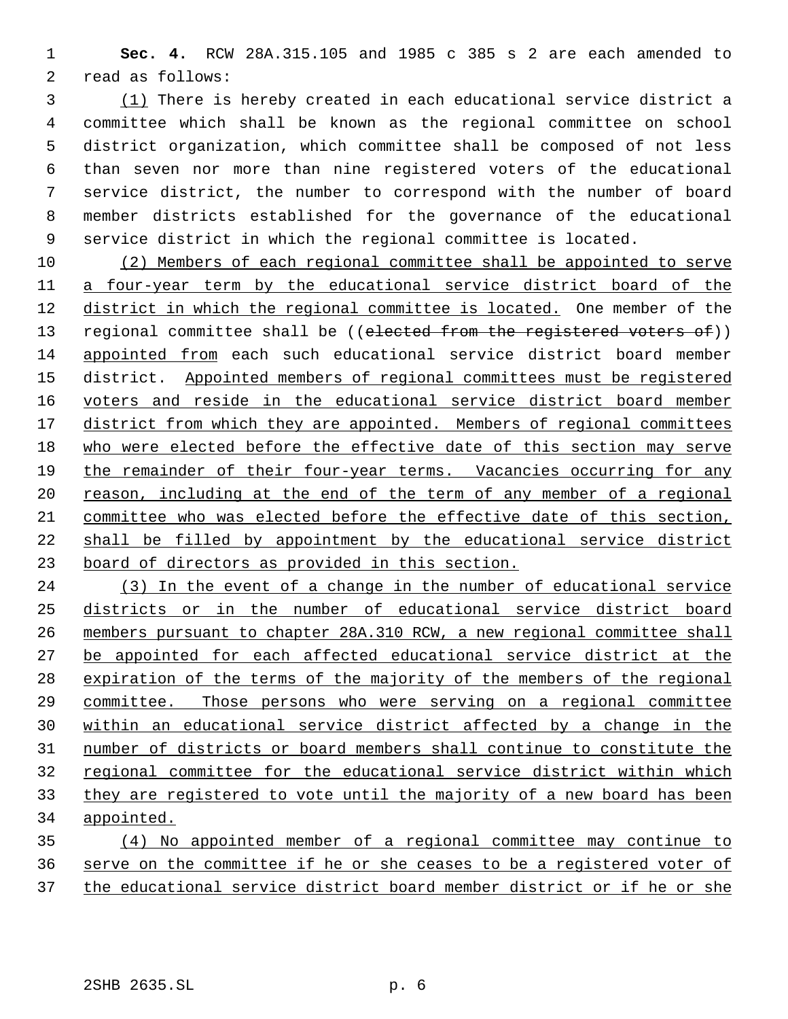**Sec. 4.** RCW 28A.315.105 and 1985 c 385 s 2 are each amended to read as follows:

 (1) There is hereby created in each educational service district a committee which shall be known as the regional committee on school district organization, which committee shall be composed of not less than seven nor more than nine registered voters of the educational service district, the number to correspond with the number of board member districts established for the governance of the educational service district in which the regional committee is located.

 (2) Members of each regional committee shall be appointed to serve a four-year term by the educational service district board of the district in which the regional committee is located. One member of the 13 regional committee shall be ((elected from the registered voters of)) appointed from each such educational service district board member district. Appointed members of regional committees must be registered voters and reside in the educational service district board member 17 district from which they are appointed. Members of regional committees who were elected before the effective date of this section may serve the remainder of their four-year terms. Vacancies occurring for any 20 reason, including at the end of the term of any member of a regional committee who was elected before the effective date of this section, shall be filled by appointment by the educational service district board of directors as provided in this section.

 (3) In the event of a change in the number of educational service districts or in the number of educational service district board members pursuant to chapter 28A.310 RCW, a new regional committee shall be appointed for each affected educational service district at the expiration of the terms of the majority of the members of the regional committee. Those persons who were serving on a regional committee within an educational service district affected by a change in the number of districts or board members shall continue to constitute the regional committee for the educational service district within which they are registered to vote until the majority of a new board has been appointed.

 (4) No appointed member of a regional committee may continue to serve on the committee if he or she ceases to be a registered voter of the educational service district board member district or if he or she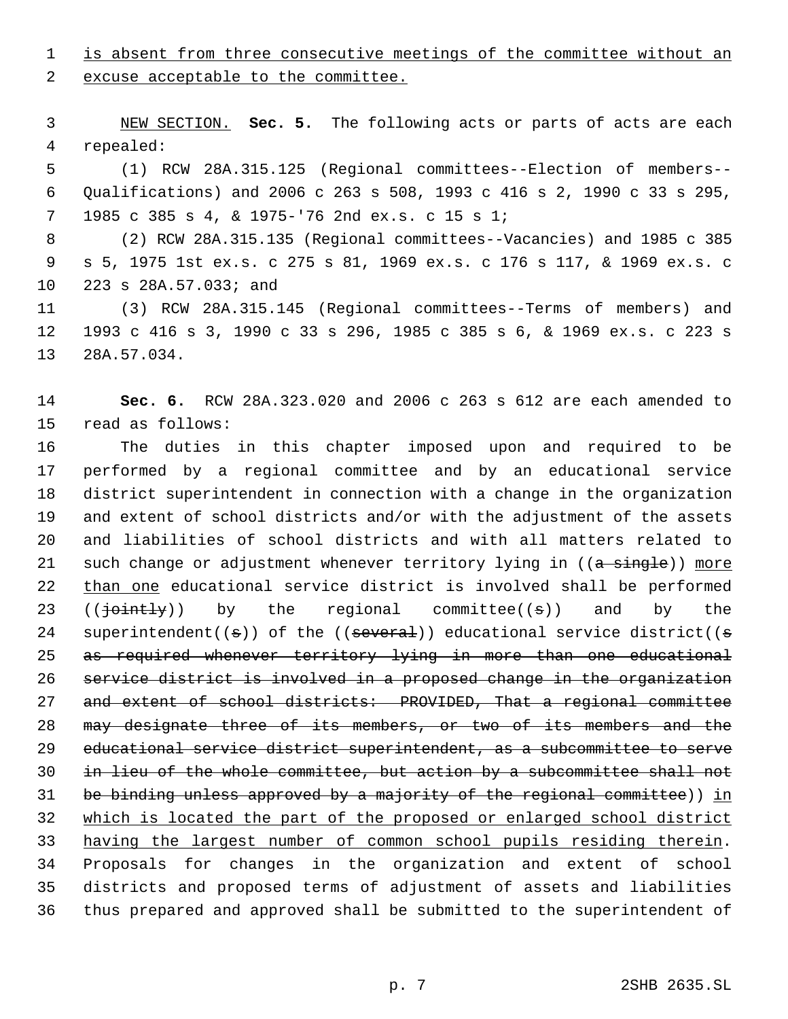1 is absent from three consecutive meetings of the committee without an

excuse acceptable to the committee.

 NEW SECTION. **Sec. 5.** The following acts or parts of acts are each repealed:

 (1) RCW 28A.315.125 (Regional committees--Election of members-- Qualifications) and 2006 c 263 s 508, 1993 c 416 s 2, 1990 c 33 s 295, 1985 c 385 s 4, & 1975-'76 2nd ex.s. c 15 s 1;

 (2) RCW 28A.315.135 (Regional committees--Vacancies) and 1985 c 385 s 5, 1975 1st ex.s. c 275 s 81, 1969 ex.s. c 176 s 117, & 1969 ex.s. c 223 s 28A.57.033; and

 (3) RCW 28A.315.145 (Regional committees--Terms of members) and 1993 c 416 s 3, 1990 c 33 s 296, 1985 c 385 s 6, & 1969 ex.s. c 223 s 28A.57.034.

 **Sec. 6.** RCW 28A.323.020 and 2006 c 263 s 612 are each amended to read as follows:

 The duties in this chapter imposed upon and required to be performed by a regional committee and by an educational service district superintendent in connection with a change in the organization and extent of school districts and/or with the adjustment of the assets and liabilities of school districts and with all matters related to 21 such change or adjustment whenever territory lying in ((a single)) more 22 than one educational service district is involved shall be performed 23 ( $(\overrightarrow{\text{point-ly}})$  by the regional committee( $(\overrightarrow{\text{s}})$ ) and by the 24 superintendent( $(\sigma)$ ) of the ((several)) educational service district( $(\sigma)$ 25 as required whenever territory lying in more than one educational service district is involved in a proposed change in the organization and extent of school districts: PROVIDED, That a regional committee 28 may designate three of its members, or two of its members and the educational service district superintendent, as a subcommittee to serve in lieu of the whole committee, but action by a subcommittee shall not 31 be binding unless approved by a majority of the regional committee)) in which is located the part of the proposed or enlarged school district having the largest number of common school pupils residing therein. Proposals for changes in the organization and extent of school districts and proposed terms of adjustment of assets and liabilities thus prepared and approved shall be submitted to the superintendent of